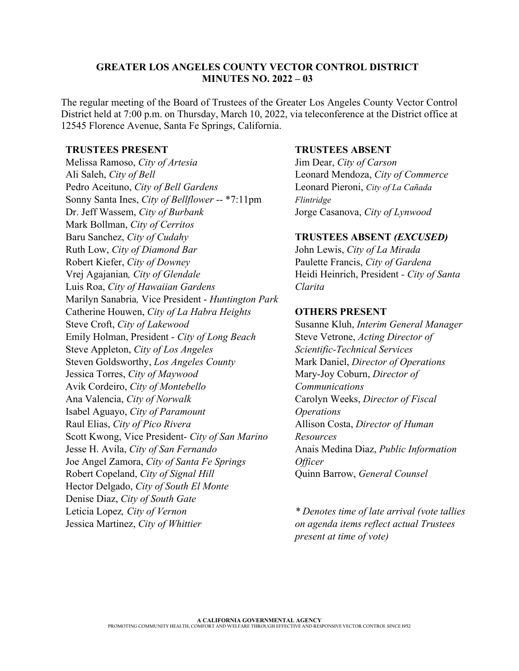#### **GREATER LOS ANGELES COUNTY VECTOR CONTROL DISTRICT MINUTES NO. 2022 – 03**

The regular meeting of the Board of Trustees of the Greater Los Angeles County Vector Control District held at 7:00 p.m. on Thursday, March 10, 2022, via teleconference at the District office at 12545 Florence Avenue, Santa Fe Springs, California.

#### **TRUSTEES PRESENT**

Melissa Ramoso, *City of Artesia* Ali Saleh, *City of Bell* Pedro Aceituno, *City of Bell Gardens* Sonny Santa Ines, *City of Bellflower* -- \*7:11pm Dr. Jeff Wassem, *City of Burbank* Mark Bollman, *City of Cerritos* Baru Sanchez, *City of Cudahy* Ruth Low, *City of Diamond Bar* Robert Kiefer, *City of Downey* Vrej Agajanian*, City of Glendale* Luis Roa, *City of Hawaiian Gardens* Marilyn Sanabria*,* Vice President - *Huntington Park* Catherine Houwen, *City of La Habra Heights* Steve Croft, *City of Lakewood* Emily Holman, President - *City of Long Beach* Steve Appleton, *City of Los Angeles* Steven Goldsworthy, *Los Angeles County*  Jessica Torres, *City of Maywood* Avik Cordeiro, *City of Montebello* Ana Valencia, *City of Norwalk*  Isabel Aguayo, *City of Paramount*  Raul Elias, *City of Pico Rivera* Scott Kwong, Vice President- *City of San Marino* Jesse H. Avila, *City of San Fernando* Joe Angel Zamora, *City of Santa Fe Springs*  Robert Copeland, *City of Signal Hill* Hector Delgado, *City of South El Monte* Denise Diaz, *City of South Gate*  Leticia Lopez*, City of Vernon*  Jessica Martinez, *City of Whittier* 

#### **TRUSTEES ABSENT**

Jim Dear, *City of Carson* Leonard Mendoza, *City of Commerce*  Leonard Pieroni, *City of La Cañada Flintridge* Jorge Casanova, *City of Lynwood* 

#### **TRUSTEES ABSENT** *(EXCUSED)*

John Lewis, *City of La Mirada* Paulette Francis, *City of Gardena* Heidi Heinrich, President *- City of Santa Clarita*

### **OTHERS PRESENT**

Susanne Kluh, *Interim General Manager*  Steve Vetrone, *Acting Director of Scientific-Technical Services* Mark Daniel, *Director of Operations* Mary-Joy Coburn, *Director of Communications* Carolyn Weeks, *Director of Fiscal Operations* Allison Costa, *Director of Human Resources* Anais Medina Diaz, *Public Information Officer* Quinn Barrow, *General Counsel*

*\* Denotes time of late arrival (vote tallies on agenda items reflect actual Trustees present at time of vote)*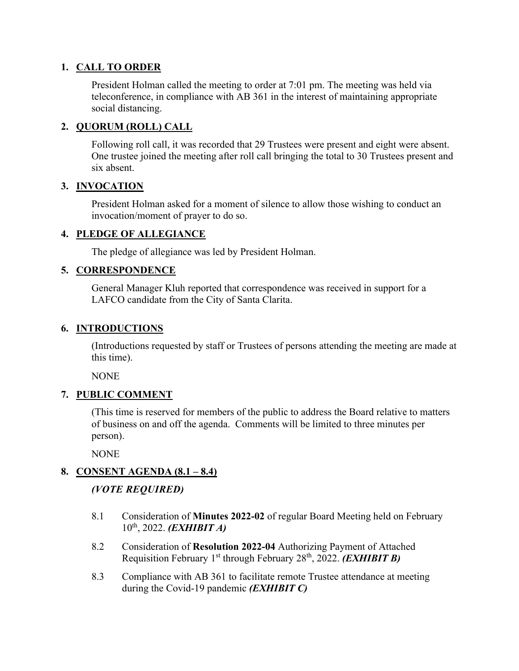### **1. CALL TO ORDER**

President Holman called the meeting to order at 7:01 pm. The meeting was held via teleconference, in compliance with AB 361 in the interest of maintaining appropriate social distancing.

### **2. QUORUM (ROLL) CALL**

Following roll call, it was recorded that 29 Trustees were present and eight were absent. One trustee joined the meeting after roll call bringing the total to 30 Trustees present and six absent.

### **3. INVOCATION**

President Holman asked for a moment of silence to allow those wishing to conduct an invocation/moment of prayer to do so.

### **4. PLEDGE OF ALLEGIANCE**

The pledge of allegiance was led by President Holman.

## **5. CORRESPONDENCE**

General Manager Kluh reported that correspondence was received in support for a LAFCO candidate from the City of Santa Clarita.

### **6. INTRODUCTIONS**

(Introductions requested by staff or Trustees of persons attending the meeting are made at this time).

NONE

# **7. PUBLIC COMMENT**

(This time is reserved for members of the public to address the Board relative to matters of business on and off the agenda. Comments will be limited to three minutes per person).

**NONE** 

# **8. CONSENT AGENDA (8.1 – 8.4)**

# *(VOTE REQUIRED)*

- 8.1 Consideration of **Minutes 2022-02** of regular Board Meeting held on February 10th, 2022. *(EXHIBIT A)*
- 8.2 Consideration of **Resolution 2022-04** Authorizing Payment of Attached Requisition February 1st through February 28th, 2022. *(EXHIBIT B)*
- 8.3 Compliance with AB 361 to facilitate remote Trustee attendance at meeting during the Covid-19 pandemic *(EXHIBIT C)*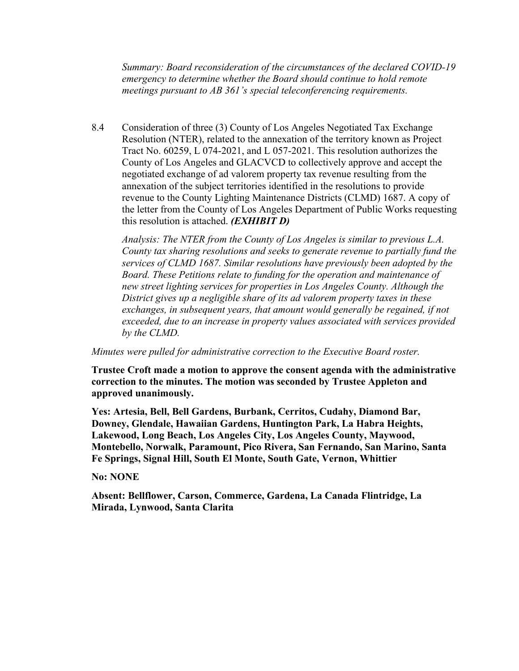*Summary: Board reconsideration of the circumstances of the declared COVID-19 emergency to determine whether the Board should continue to hold remote meetings pursuant to AB 361's special teleconferencing requirements.* 

8.4 Consideration of three (3) County of Los Angeles Negotiated Tax Exchange Resolution (NTER), related to the annexation of the territory known as Project Tract No. 60259, L 074-2021, and L 057-2021. This resolution authorizes the County of Los Angeles and GLACVCD to collectively approve and accept the negotiated exchange of ad valorem property tax revenue resulting from the annexation of the subject territories identified in the resolutions to provide revenue to the County Lighting Maintenance Districts (CLMD) 1687. A copy of the letter from the County of Los Angeles Department of Public Works requesting this resolution is attached. *(EXHIBIT D)*

*Analysis: The NTER from the County of Los Angeles is similar to previous L.A. County tax sharing resolutions and seeks to generate revenue to partially fund the services of CLMD 1687. Similar resolutions have previously been adopted by the Board. These Petitions relate to funding for the operation and maintenance of new street lighting services for properties in Los Angeles County. Although the District gives up a negligible share of its ad valorem property taxes in these exchanges, in subsequent years, that amount would generally be regained, if not exceeded, due to an increase in property values associated with services provided by the CLMD.*

*Minutes were pulled for administrative correction to the Executive Board roster.*

**Trustee Croft made a motion to approve the consent agenda with the administrative correction to the minutes. The motion was seconded by Trustee Appleton and approved unanimously.** 

**Yes: Artesia, Bell, Bell Gardens, Burbank, Cerritos, Cudahy, Diamond Bar, Downey, Glendale, Hawaiian Gardens, Huntington Park, La Habra Heights, Lakewood, Long Beach, Los Angeles City, Los Angeles County, Maywood, Montebello, Norwalk, Paramount, Pico Rivera, San Fernando, San Marino, Santa Fe Springs, Signal Hill, South El Monte, South Gate, Vernon, Whittier**

**No: NONE**

**Absent: Bellflower, Carson, Commerce, Gardena, La Canada Flintridge, La Mirada, Lynwood, Santa Clarita**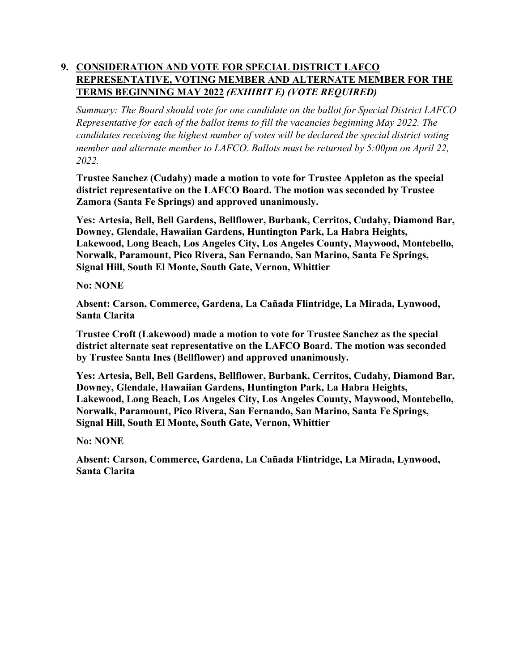# **9. CONSIDERATION AND VOTE FOR SPECIAL DISTRICT LAFCO REPRESENTATIVE, VOTING MEMBER AND ALTERNATE MEMBER FOR THE TERMS BEGINNING MAY 2022** *(EXHIBIT E) (VOTE REQUIRED)*

*Summary: The Board should vote for one candidate on the ballot for Special District LAFCO Representative for each of the ballot items to fill the vacancies beginning May 2022. The candidates receiving the highest number of votes will be declared the special district voting member and alternate member to LAFCO. Ballots must be returned by 5:00pm on April 22, 2022.* 

**Trustee Sanchez (Cudahy) made a motion to vote for Trustee Appleton as the special district representative on the LAFCO Board. The motion was seconded by Trustee Zamora (Santa Fe Springs) and approved unanimously.** 

**Yes: Artesia, Bell, Bell Gardens, Bellflower, Burbank, Cerritos, Cudahy, Diamond Bar, Downey, Glendale, Hawaiian Gardens, Huntington Park, La Habra Heights, Lakewood, Long Beach, Los Angeles City, Los Angeles County, Maywood, Montebello, Norwalk, Paramount, Pico Rivera, San Fernando, San Marino, Santa Fe Springs, Signal Hill, South El Monte, South Gate, Vernon, Whittier**

**No: NONE**

**Absent: Carson, Commerce, Gardena, La Cañada Flintridge, La Mirada, Lynwood, Santa Clarita** 

**Trustee Croft (Lakewood) made a motion to vote for Trustee Sanchez as the special district alternate seat representative on the LAFCO Board. The motion was seconded by Trustee Santa Ines (Bellflower) and approved unanimously.** 

**Yes: Artesia, Bell, Bell Gardens, Bellflower, Burbank, Cerritos, Cudahy, Diamond Bar, Downey, Glendale, Hawaiian Gardens, Huntington Park, La Habra Heights, Lakewood, Long Beach, Los Angeles City, Los Angeles County, Maywood, Montebello, Norwalk, Paramount, Pico Rivera, San Fernando, San Marino, Santa Fe Springs, Signal Hill, South El Monte, South Gate, Vernon, Whittier**

**No: NONE**

**Absent: Carson, Commerce, Gardena, La Cañada Flintridge, La Mirada, Lynwood, Santa Clarita**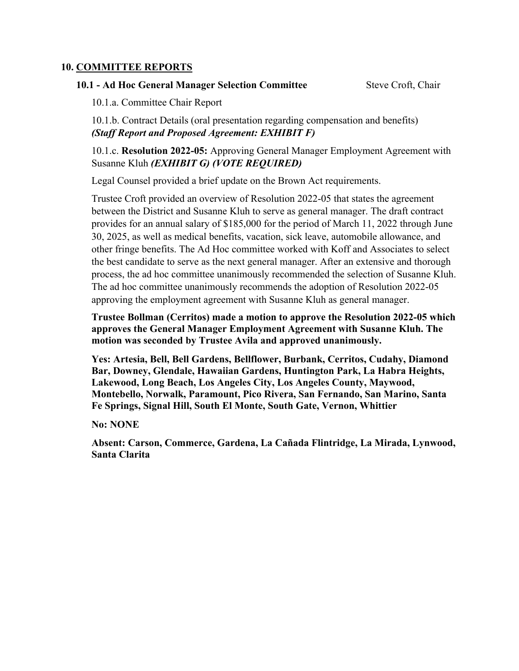#### **10. COMMITTEE REPORTS**

#### **10.1 - Ad Hoc General Manager Selection Committee Steve Croft, Chair**

10.1.a. Committee Chair Report

10.1.b. Contract Details (oral presentation regarding compensation and benefits) *(Staff Report and Proposed Agreement: EXHIBIT F)* 

10.1.c. **Resolution 2022-05:** Approving General Manager Employment Agreement with Susanne Kluh *(EXHIBIT G) (VOTE REQUIRED)*

Legal Counsel provided a brief update on the Brown Act requirements.

Trustee Croft provided an overview of Resolution 2022-05 that states the agreement between the District and Susanne Kluh to serve as general manager. The draft contract provides for an annual salary of \$185,000 for the period of March 11, 2022 through June 30, 2025, as well as medical benefits, vacation, sick leave, automobile allowance, and other fringe benefits. The Ad Hoc committee worked with Koff and Associates to select the best candidate to serve as the next general manager. After an extensive and thorough process, the ad hoc committee unanimously recommended the selection of Susanne Kluh. The ad hoc committee unanimously recommends the adoption of Resolution 2022-05 approving the employment agreement with Susanne Kluh as general manager.

**Trustee Bollman (Cerritos) made a motion to approve the Resolution 2022-05 which approves the General Manager Employment Agreement with Susanne Kluh. The motion was seconded by Trustee Avila and approved unanimously.** 

**Yes: Artesia, Bell, Bell Gardens, Bellflower, Burbank, Cerritos, Cudahy, Diamond Bar, Downey, Glendale, Hawaiian Gardens, Huntington Park, La Habra Heights, Lakewood, Long Beach, Los Angeles City, Los Angeles County, Maywood, Montebello, Norwalk, Paramount, Pico Rivera, San Fernando, San Marino, Santa Fe Springs, Signal Hill, South El Monte, South Gate, Vernon, Whittier**

**No: NONE**

**Absent: Carson, Commerce, Gardena, La Cañada Flintridge, La Mirada, Lynwood, Santa Clarita**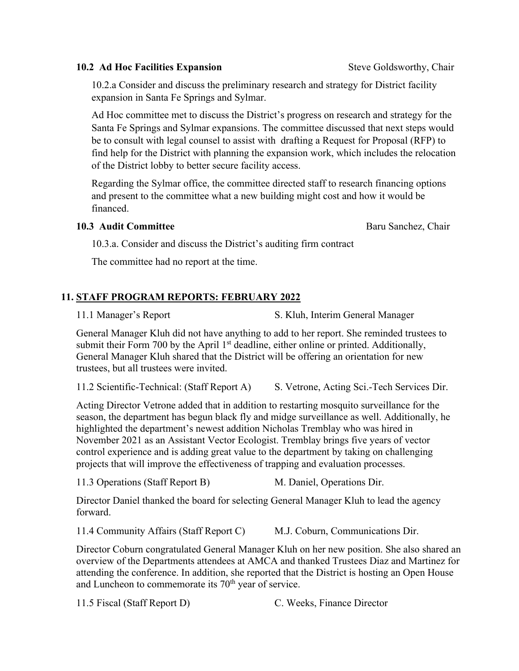## **10.2 Ad Hoc Facilities Expansion Steve Goldsworthy, Chair**

10.2.a Consider and discuss the preliminary research and strategy for District facility expansion in Santa Fe Springs and Sylmar.

Ad Hoc committee met to discuss the District's progress on research and strategy for the Santa Fe Springs and Sylmar expansions. The committee discussed that next steps would be to consult with legal counsel to assist with drafting a Request for Proposal (RFP) to find help for the District with planning the expansion work, which includes the relocation of the District lobby to better secure facility access.

Regarding the Sylmar office, the committee directed staff to research financing options and present to the committee what a new building might cost and how it would be financed.

#### **10.3 Audit Committee Baru Sanchez, Chair Audit Committee Baru Sanchez, Chair**

10.3.a. Consider and discuss the District's auditing firm contract

The committee had no report at the time.

# **11. STAFF PROGRAM REPORTS: FEBRUARY 2022**

11.1 Manager's Report S. Kluh, Interim General Manager

General Manager Kluh did not have anything to add to her report. She reminded trustees to submit their Form 700 by the April  $1<sup>st</sup>$  deadline, either online or printed. Additionally, General Manager Kluh shared that the District will be offering an orientation for new trustees, but all trustees were invited.

11.2 Scientific-Technical: (Staff Report A) S. Vetrone, Acting Sci.-Tech Services Dir.

Acting Director Vetrone added that in addition to restarting mosquito surveillance for the season, the department has begun black fly and midge surveillance as well. Additionally, he highlighted the department's newest addition Nicholas Tremblay who was hired in November 2021 as an Assistant Vector Ecologist. Tremblay brings five years of vector control experience and is adding great value to the department by taking on challenging projects that will improve the effectiveness of trapping and evaluation processes.

11.3 Operations (Staff Report B) M. Daniel, Operations Dir.

Director Daniel thanked the board for selecting General Manager Kluh to lead the agency forward.

11.4 Community Affairs (Staff Report C) M.J. Coburn, Communications Dir.

Director Coburn congratulated General Manager Kluh on her new position. She also shared an overview of the Departments attendees at AMCA and thanked Trustees Diaz and Martinez for attending the conference. In addition, she reported that the District is hosting an Open House and Luncheon to commemorate its  $70<sup>th</sup>$  year of service.

11.5 Fiscal (Staff Report D) C. Weeks, Finance Director